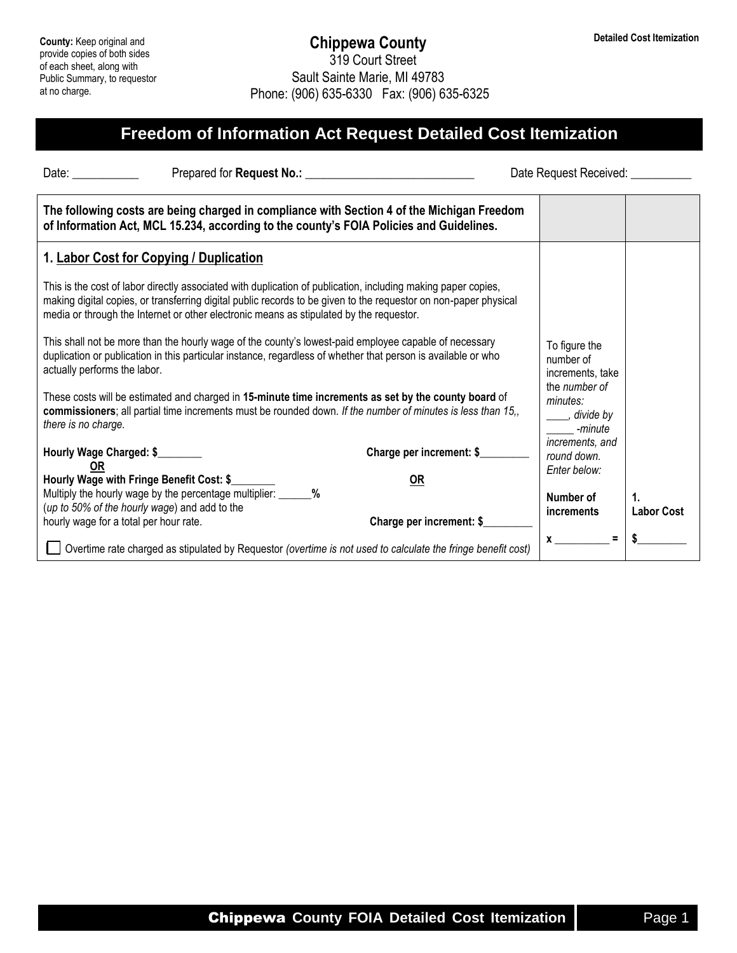## **Freedom of Information Act Request Detailed Cost Itemization**

Date: \_\_\_\_\_\_\_\_\_\_\_\_\_ Prepared for **Request No.:** \_\_\_\_\_\_\_\_\_\_\_\_\_\_\_\_\_\_\_\_\_\_\_\_\_\_\_\_\_\_\_\_\_ Date Request Received: \_\_\_\_\_

| The following costs are being charged in compliance with Section 4 of the Michigan Freedom<br>of Information Act, MCL 15.234, according to the county's FOIA Policies and Guidelines.                                                                                                                                        |                          |                                                       |                                  |
|------------------------------------------------------------------------------------------------------------------------------------------------------------------------------------------------------------------------------------------------------------------------------------------------------------------------------|--------------------------|-------------------------------------------------------|----------------------------------|
| 1. Labor Cost for Copying / Duplication                                                                                                                                                                                                                                                                                      |                          |                                                       |                                  |
| This is the cost of labor directly associated with duplication of publication, including making paper copies,<br>making digital copies, or transferring digital public records to be given to the requestor on non-paper physical<br>media or through the Internet or other electronic means as stipulated by the requestor. |                          |                                                       |                                  |
| This shall not be more than the hourly wage of the county's lowest-paid employee capable of necessary<br>duplication or publication in this particular instance, regardless of whether that person is available or who<br>actually performs the labor.                                                                       |                          | To figure the<br>number of<br>increments, take        |                                  |
| These costs will be estimated and charged in 15-minute time increments as set by the county board of<br>commissioners; all partial time increments must be rounded down. If the number of minutes is less than 15,,<br>there is no charge.                                                                                   |                          | the number of<br>minutes:<br>__, divide by<br>-minute |                                  |
| Hourly Wage Charged: \$<br><b>OR</b>                                                                                                                                                                                                                                                                                         | Charge per increment: \$ | increments, and<br>round down.<br>Enter below:        |                                  |
| Hourly Wage with Fringe Benefit Cost: \$                                                                                                                                                                                                                                                                                     | <b>OR</b>                |                                                       |                                  |
| Multiply the hourly wage by the percentage multiplier: _______%<br>(up to 50% of the hourly wage) and add to the<br>hourly wage for a total per hour rate.                                                                                                                                                                   | Charge per increment: \$ | Number of<br>increments                               | $\mathbf 1$<br><b>Labor Cost</b> |
| Overtime rate charged as stipulated by Requestor (overtime is not used to calculate the fringe benefit cost)                                                                                                                                                                                                                 |                          | $\mathbf x$                                           |                                  |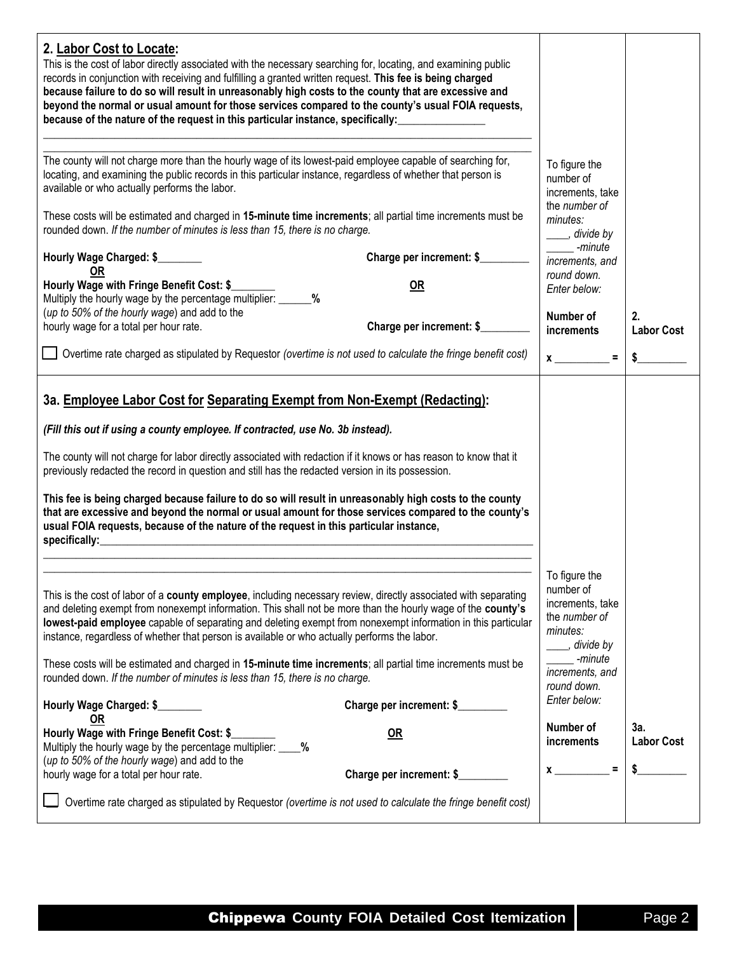| 2. Labor Cost to Locate:<br>This is the cost of labor directly associated with the necessary searching for, locating, and examining public<br>records in conjunction with receiving and fulfilling a granted written request. This fee is being charged<br>because failure to do so will result in unreasonably high costs to the county that are excessive and<br>beyond the normal or usual amount for those services compared to the county's usual FOIA requests,<br>because of the nature of the request in this particular instance, specifically:<br>The county will not charge more than the hourly wage of its lowest-paid employee capable of searching for,<br>locating, and examining the public records in this particular instance, regardless of whether that person is<br>available or who actually performs the labor.<br>These costs will be estimated and charged in 15-minute time increments; all partial time increments must be<br>rounded down. If the number of minutes is less than 15, there is no charge. |                                | To figure the<br>number of<br>increments, take<br>the number of<br>minutes:<br>____, divide by<br>-minute                             |                          |
|---------------------------------------------------------------------------------------------------------------------------------------------------------------------------------------------------------------------------------------------------------------------------------------------------------------------------------------------------------------------------------------------------------------------------------------------------------------------------------------------------------------------------------------------------------------------------------------------------------------------------------------------------------------------------------------------------------------------------------------------------------------------------------------------------------------------------------------------------------------------------------------------------------------------------------------------------------------------------------------------------------------------------------------|--------------------------------|---------------------------------------------------------------------------------------------------------------------------------------|--------------------------|
| Hourly Wage Charged: \$<br>OR                                                                                                                                                                                                                                                                                                                                                                                                                                                                                                                                                                                                                                                                                                                                                                                                                                                                                                                                                                                                         | Charge per increment: \$       | increments, and<br>round down.                                                                                                        |                          |
| Hourly Wage with Fringe Benefit Cost: \$<br>Multiply the hourly wage by the percentage multiplier: ______%                                                                                                                                                                                                                                                                                                                                                                                                                                                                                                                                                                                                                                                                                                                                                                                                                                                                                                                            | <b>OR</b>                      | Enter below:                                                                                                                          |                          |
| (up to 50% of the hourly wage) and add to the<br>hourly wage for a total per hour rate.                                                                                                                                                                                                                                                                                                                                                                                                                                                                                                                                                                                                                                                                                                                                                                                                                                                                                                                                               | Charge per increment: \$       | Number of<br>increments                                                                                                               | 2.<br><b>Labor Cost</b>  |
| Overtime rate charged as stipulated by Requestor (overtime is not used to calculate the fringe benefit cost)                                                                                                                                                                                                                                                                                                                                                                                                                                                                                                                                                                                                                                                                                                                                                                                                                                                                                                                          |                                | $x \sim$ =                                                                                                                            | $\sim$                   |
| 3a. Employee Labor Cost for Separating Exempt from Non-Exempt (Redacting):<br>(Fill this out if using a county employee. If contracted, use No. 3b instead).<br>The county will not charge for labor directly associated with redaction if it knows or has reason to know that it<br>previously redacted the record in question and still has the redacted version in its possession.<br>This fee is being charged because failure to do so will result in unreasonably high costs to the county<br>that are excessive and beyond the normal or usual amount for those services compared to the county's<br>usual FOIA requests, because of the nature of the request in this particular instance,<br>specifically:                                                                                                                                                                                                                                                                                                                   |                                |                                                                                                                                       |                          |
| This is the cost of labor of a county employee, including necessary review, directly associated with separating<br>and deleting exempt from nonexempt information. This shall not be more than the hourly wage of the county's<br>lowest-paid employee capable of separating and deleting exempt from nonexempt information in this particular<br>instance, regardless of whether that person is available or who actually performs the labor.<br>These costs will be estimated and charged in 15-minute time increments; all partial time increments must be<br>rounded down. If the number of minutes is less than 15, there is no charge.                                                                                                                                                                                                                                                                                                                                                                                          |                                | To figure the<br>number of<br>increments, take<br>the number of<br>minutes:<br>stride by<br>-minute<br>increments, and<br>round down. |                          |
| Hourly Wage Charged: \$<br><b>OR</b>                                                                                                                                                                                                                                                                                                                                                                                                                                                                                                                                                                                                                                                                                                                                                                                                                                                                                                                                                                                                  | Charge per increment: \$       | Enter below:                                                                                                                          |                          |
| Hourly Wage with Fringe Benefit Cost: \$_<br>Multiply the hourly wage by the percentage multiplier: ____ %<br>(up to 50% of the hourly wage) and add to the<br>hourly wage for a total per hour rate.                                                                                                                                                                                                                                                                                                                                                                                                                                                                                                                                                                                                                                                                                                                                                                                                                                 | OR<br>Charge per increment: \$ | Number of<br>increments<br>$=$<br>$x \overline{\phantom{a}}$                                                                          | 3a.<br><b>Labor Cost</b> |
| Overtime rate charged as stipulated by Requestor (overtime is not used to calculate the fringe benefit cost)                                                                                                                                                                                                                                                                                                                                                                                                                                                                                                                                                                                                                                                                                                                                                                                                                                                                                                                          |                                |                                                                                                                                       |                          |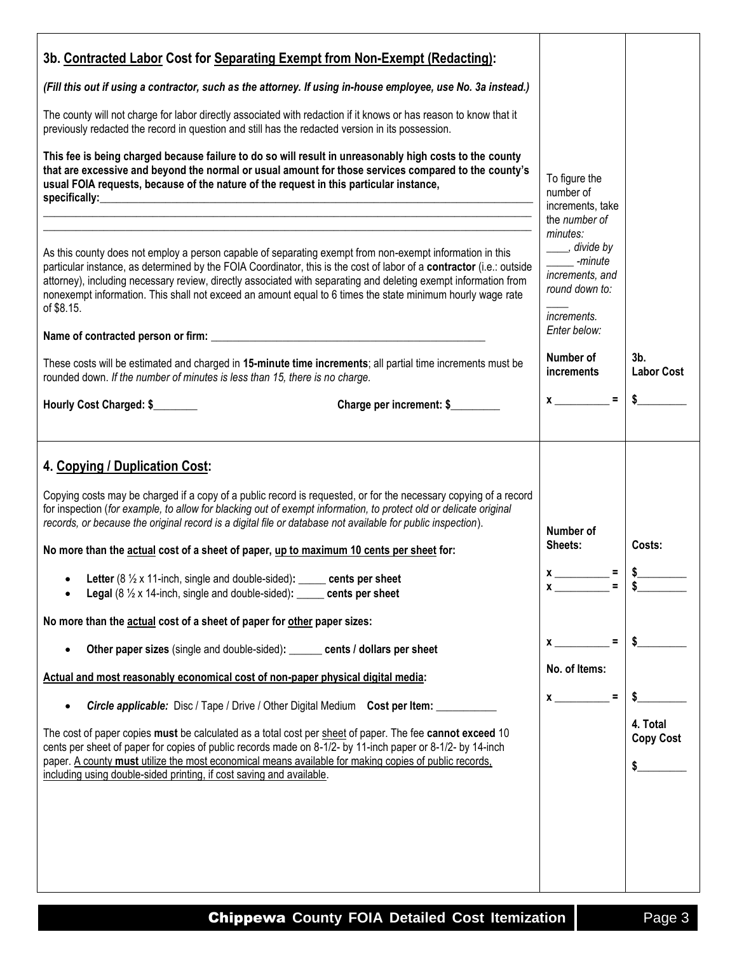| 3b. Contracted Labor Cost for Separating Exempt from Non-Exempt (Redacting):                                                                                                                                                                                                                                                                                                                                                                                                                                                                                                                                                                                                                                                                                                                                                                                                                                                                                                                                                                                                                                                                                                                                                                                                                                                                                                                                                   |                                                                                                                                    |                                             |
|--------------------------------------------------------------------------------------------------------------------------------------------------------------------------------------------------------------------------------------------------------------------------------------------------------------------------------------------------------------------------------------------------------------------------------------------------------------------------------------------------------------------------------------------------------------------------------------------------------------------------------------------------------------------------------------------------------------------------------------------------------------------------------------------------------------------------------------------------------------------------------------------------------------------------------------------------------------------------------------------------------------------------------------------------------------------------------------------------------------------------------------------------------------------------------------------------------------------------------------------------------------------------------------------------------------------------------------------------------------------------------------------------------------------------------|------------------------------------------------------------------------------------------------------------------------------------|---------------------------------------------|
| (Fill this out if using a contractor, such as the attorney. If using in-house employee, use No. 3a instead.)                                                                                                                                                                                                                                                                                                                                                                                                                                                                                                                                                                                                                                                                                                                                                                                                                                                                                                                                                                                                                                                                                                                                                                                                                                                                                                                   |                                                                                                                                    |                                             |
| The county will not charge for labor directly associated with redaction if it knows or has reason to know that it<br>previously redacted the record in question and still has the redacted version in its possession.                                                                                                                                                                                                                                                                                                                                                                                                                                                                                                                                                                                                                                                                                                                                                                                                                                                                                                                                                                                                                                                                                                                                                                                                          |                                                                                                                                    |                                             |
| This fee is being charged because failure to do so will result in unreasonably high costs to the county<br>that are excessive and beyond the normal or usual amount for those services compared to the county's<br>usual FOIA requests, because of the nature of the request in this particular instance,<br>specifically: the contract of the contract of the contract of the contract of the contract of the contract of the contract of the contract of the contract of the contract of the contract of the contract of the contract of                                                                                                                                                                                                                                                                                                                                                                                                                                                                                                                                                                                                                                                                                                                                                                                                                                                                                     |                                                                                                                                    |                                             |
| As this county does not employ a person capable of separating exempt from non-exempt information in this<br>particular instance, as determined by the FOIA Coordinator, this is the cost of labor of a contractor (i.e.: outside<br>attorney), including necessary review, directly associated with separating and deleting exempt information from<br>nonexempt information. This shall not exceed an amount equal to 6 times the state minimum hourly wage rate<br>of \$8.15.                                                                                                                                                                                                                                                                                                                                                                                                                                                                                                                                                                                                                                                                                                                                                                                                                                                                                                                                                | the number of<br>minutes:<br>____, divide by<br>-minute<br>increments, and<br>round down to:<br><i>increments.</i><br>Enter below: |                                             |
| These costs will be estimated and charged in 15-minute time increments; all partial time increments must be<br>rounded down. If the number of minutes is less than 15, there is no charge.                                                                                                                                                                                                                                                                                                                                                                                                                                                                                                                                                                                                                                                                                                                                                                                                                                                                                                                                                                                                                                                                                                                                                                                                                                     | Number of<br>increments                                                                                                            | 3 <sub>b</sub><br><b>Labor Cost</b>         |
| Hourly Cost Charged: \$<br>Charge per increment: \$                                                                                                                                                                                                                                                                                                                                                                                                                                                                                                                                                                                                                                                                                                                                                                                                                                                                                                                                                                                                                                                                                                                                                                                                                                                                                                                                                                            | $x \sim$                                                                                                                           | \$                                          |
| 4. Copying / Duplication Cost:<br>Copying costs may be charged if a copy of a public record is requested, or for the necessary copying of a record<br>for inspection (for example, to allow for blacking out of exempt information, to protect old or delicate original<br>records, or because the original record is a digital file or database not available for public inspection).<br>No more than the actual cost of a sheet of paper, up to maximum 10 cents per sheet for:<br>Letter (8 1/2 x 11-inch, single and double-sided): _____ cents per sheet<br>٠<br>Legal $(8 \frac{1}{2} \times 14$ -inch, single and double-sided): _____ cents per sheet<br>No more than the actual cost of a sheet of paper for other paper sizes:<br>Other paper sizes (single and double-sided): ______ cents / dollars per sheet<br>Actual and most reasonably economical cost of non-paper physical digital media:<br>Circle applicable: Disc / Tape / Drive / Other Digital Medium Cost per Item: _________<br>$\bullet$<br>The cost of paper copies must be calculated as a total cost per sheet of paper. The fee cannot exceed 10<br>cents per sheet of paper for copies of public records made on 8-1/2- by 11-inch paper or 8-1/2- by 14-inch<br>paper. A county must utilize the most economical means available for making copies of public records,<br>including using double-sided printing, if cost saving and available. | Number of<br>Sheets:<br>$x \overline{ )} =$<br>$\equiv$<br>No. of Items:<br>$\equiv$<br>$\mathbf x$                                | Costs:<br>¢<br>4. Total<br><b>Copy Cost</b> |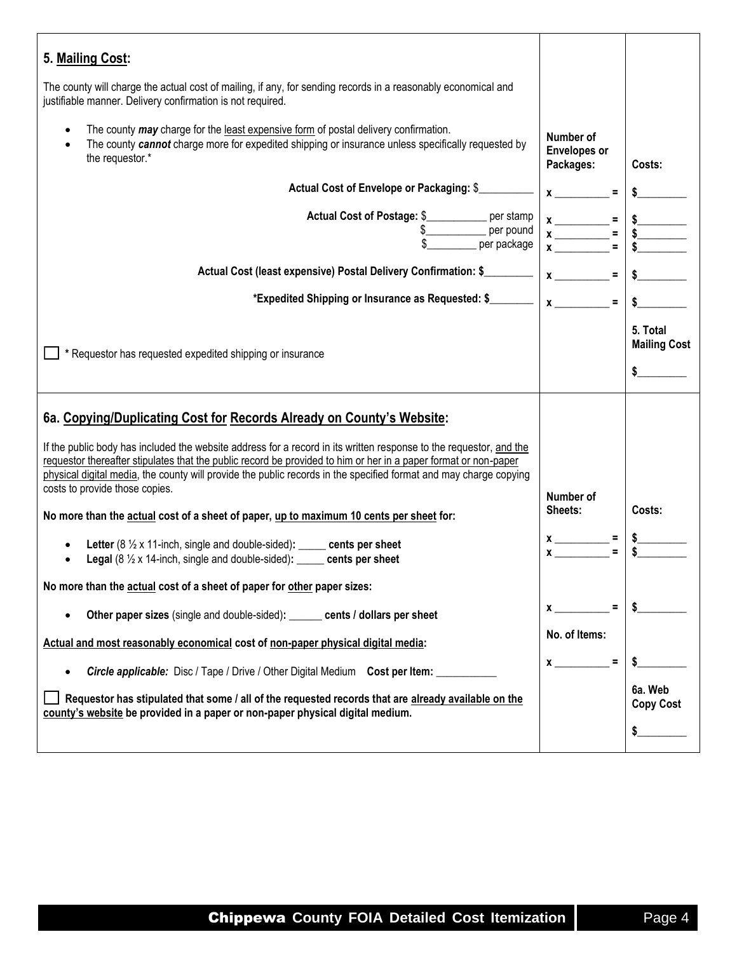| 5. Mailing Cost:                                                                                                                                                                                                                                                                                                                                                                             |                                                                                                                                                                                                                                                                                                                                             |                                           |
|----------------------------------------------------------------------------------------------------------------------------------------------------------------------------------------------------------------------------------------------------------------------------------------------------------------------------------------------------------------------------------------------|---------------------------------------------------------------------------------------------------------------------------------------------------------------------------------------------------------------------------------------------------------------------------------------------------------------------------------------------|-------------------------------------------|
| The county will charge the actual cost of mailing, if any, for sending records in a reasonably economical and<br>justifiable manner. Delivery confirmation is not required.                                                                                                                                                                                                                  |                                                                                                                                                                                                                                                                                                                                             |                                           |
| The county may charge for the least expensive form of postal delivery confirmation.<br>$\bullet$<br>The county cannot charge more for expedited shipping or insurance unless specifically requested by<br>the requestor.*                                                                                                                                                                    | Number of<br><b>Envelopes or</b><br>Packages:                                                                                                                                                                                                                                                                                               | Costs:                                    |
| Actual Cost of Envelope or Packaging: \$                                                                                                                                                                                                                                                                                                                                                     | $x \sim$ =                                                                                                                                                                                                                                                                                                                                  |                                           |
| Actual Cost of Postage: \$___________ per stamp<br>$$$ per pound<br>per package                                                                                                                                                                                                                                                                                                              | $x \longrightarrow$ = $\frac{1}{2}$ = $\frac{2}{2}$<br>$x \overline{\phantom{a}}$ = $\phantom{a}$                                                                                                                                                                                                                                           |                                           |
| Actual Cost (least expensive) Postal Delivery Confirmation: \$                                                                                                                                                                                                                                                                                                                               | $x \overline{\phantom{a}} =$                                                                                                                                                                                                                                                                                                                |                                           |
| *Expedited Shipping or Insurance as Requested: \$                                                                                                                                                                                                                                                                                                                                            | $x \overline{\phantom{a}}$<br>$\equiv$                                                                                                                                                                                                                                                                                                      | $\sim$                                    |
| * Requestor has requested expedited shipping or insurance                                                                                                                                                                                                                                                                                                                                    |                                                                                                                                                                                                                                                                                                                                             | 5. Total<br><b>Mailing Cost</b><br>$\sim$ |
| 6a. Copying/Duplicating Cost for Records Already on County's Website:                                                                                                                                                                                                                                                                                                                        |                                                                                                                                                                                                                                                                                                                                             |                                           |
| If the public body has included the website address for a record in its written response to the requestor, and the<br>requestor thereafter stipulates that the public record be provided to him or her in a paper format or non-paper<br>physical digital media, the county will provide the public records in the specified format and may charge copying<br>costs to provide those copies. |                                                                                                                                                                                                                                                                                                                                             |                                           |
| No more than the actual cost of a sheet of paper, up to maximum 10 cents per sheet for:                                                                                                                                                                                                                                                                                                      | Number of<br>Sheets:                                                                                                                                                                                                                                                                                                                        | Costs:                                    |
| Letter $(8 \frac{1}{2} \times 11$ -inch, single and double-sided): _____ cents per sheet<br>Legal (8 1/2 x 14-inch, single and double-sided): _____ cents per sheet                                                                                                                                                                                                                          | $\mathbf x$                                                                                                                                                                                                                                                                                                                                 |                                           |
| No more than the actual cost of a sheet of paper for other paper sizes:                                                                                                                                                                                                                                                                                                                      |                                                                                                                                                                                                                                                                                                                                             |                                           |
| Other paper sizes (single and double-sided): ______ cents / dollars per sheet<br>$\bullet$                                                                                                                                                                                                                                                                                                   | $\equiv$<br>$\mathbf x$ and $\mathbf x$ and $\mathbf x$ and $\mathbf x$ and $\mathbf x$ and $\mathbf x$ and $\mathbf x$ and $\mathbf x$ and $\mathbf x$ and $\mathbf x$ and $\mathbf x$ and $\mathbf x$ and $\mathbf x$ and $\mathbf x$ and $\mathbf x$ and $\mathbf x$ and $\mathbf x$ and $\mathbf x$ and $\mathbf x$ and $\mathbf x$ and | \$                                        |
| Actual and most reasonably economical cost of non-paper physical digital media:                                                                                                                                                                                                                                                                                                              | No. of Items:                                                                                                                                                                                                                                                                                                                               |                                           |
| <b>Circle applicable:</b> Disc / Tape / Drive / Other Digital Medium Cost per Item:                                                                                                                                                                                                                                                                                                          | $\equiv$<br>$\mathbf{x}$                                                                                                                                                                                                                                                                                                                    |                                           |
| Requestor has stipulated that some / all of the requested records that are already available on the<br>county's website be provided in a paper or non-paper physical digital medium.                                                                                                                                                                                                         |                                                                                                                                                                                                                                                                                                                                             | 6a. Web<br><b>Copy Cost</b>               |
|                                                                                                                                                                                                                                                                                                                                                                                              |                                                                                                                                                                                                                                                                                                                                             | \$                                        |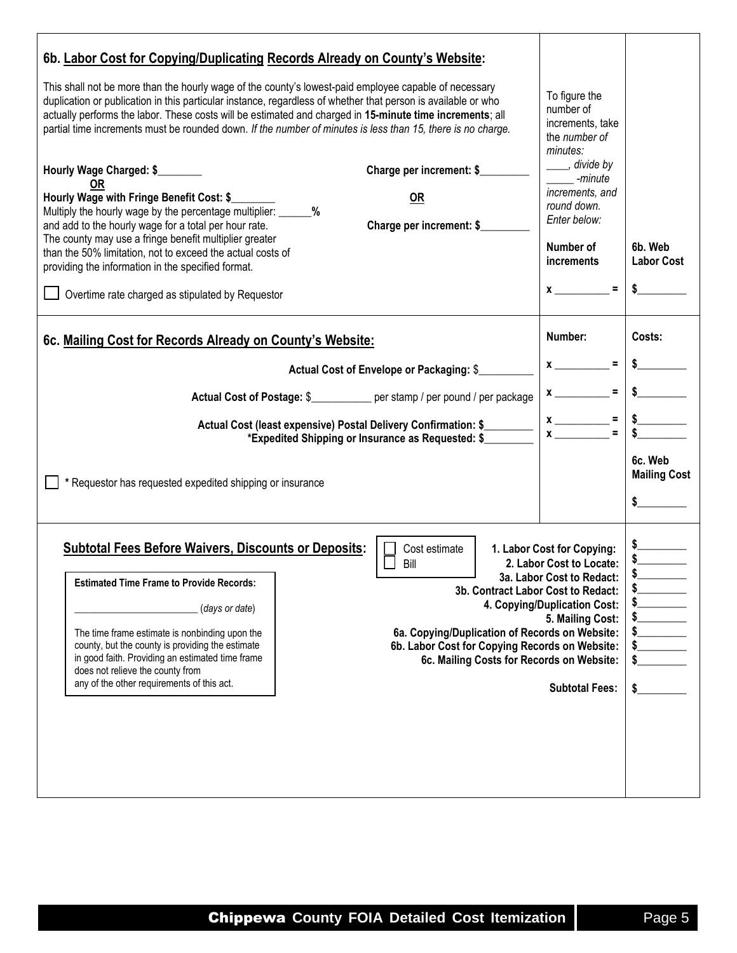| 6b. Labor Cost for Copying/Duplicating Records Already on County's Website:                                                                                                                                                                                                                                                                                                                                                                       |                                                                                                                                                                                                                                         |                                                                                     |                                |
|---------------------------------------------------------------------------------------------------------------------------------------------------------------------------------------------------------------------------------------------------------------------------------------------------------------------------------------------------------------------------------------------------------------------------------------------------|-----------------------------------------------------------------------------------------------------------------------------------------------------------------------------------------------------------------------------------------|-------------------------------------------------------------------------------------|--------------------------------|
| This shall not be more than the hourly wage of the county's lowest-paid employee capable of necessary<br>duplication or publication in this particular instance, regardless of whether that person is available or who<br>actually performs the labor. These costs will be estimated and charged in 15-minute time increments; all<br>partial time increments must be rounded down. If the number of minutes is less than 15, there is no charge. |                                                                                                                                                                                                                                         | To figure the<br>number of<br>increments, take<br>the number of<br>minutes:         |                                |
| Hourly Wage Charged: \$                                                                                                                                                                                                                                                                                                                                                                                                                           | Charge per increment: \$                                                                                                                                                                                                                | ____, divide by<br>-minute                                                          |                                |
| 0R<br>Hourly Wage with Fringe Benefit Cost: \$<br>Multiply the hourly wage by the percentage multiplier: _______ %<br>and add to the hourly wage for a total per hour rate.<br>The county may use a fringe benefit multiplier greater                                                                                                                                                                                                             | <b>OR</b><br>Charge per increment: \$                                                                                                                                                                                                   | increments, and<br>round down.<br>Enter below:                                      |                                |
| than the 50% limitation, not to exceed the actual costs of<br>providing the information in the specified format.                                                                                                                                                                                                                                                                                                                                  |                                                                                                                                                                                                                                         | Number of<br>increments                                                             | 6b. Web<br><b>Labor Cost</b>   |
| Overtime rate charged as stipulated by Requestor                                                                                                                                                                                                                                                                                                                                                                                                  |                                                                                                                                                                                                                                         | $x \sim$                                                                            |                                |
| 6c. Mailing Cost for Records Already on County's Website:                                                                                                                                                                                                                                                                                                                                                                                         |                                                                                                                                                                                                                                         | Number:                                                                             | Costs:                         |
|                                                                                                                                                                                                                                                                                                                                                                                                                                                   | Actual Cost of Envelope or Packaging: \$                                                                                                                                                                                                |                                                                                     |                                |
|                                                                                                                                                                                                                                                                                                                                                                                                                                                   | Actual Cost of Postage: \$<br>____________ per stamp / per pound / per package                                                                                                                                                          | $x \overline{\phantom{a}}$                                                          | \$                             |
| Actual Cost (least expensive) Postal Delivery Confirmation: \$<br>*Expedited Shipping or Insurance as Requested: \$                                                                                                                                                                                                                                                                                                                               |                                                                                                                                                                                                                                         | $x \x =$                                                                            |                                |
| * Requestor has requested expedited shipping or insurance                                                                                                                                                                                                                                                                                                                                                                                         |                                                                                                                                                                                                                                         |                                                                                     | 6c. Web<br><b>Mailing Cost</b> |
|                                                                                                                                                                                                                                                                                                                                                                                                                                                   |                                                                                                                                                                                                                                         |                                                                                     |                                |
| <b>Subtotal Fees Before Waivers, Discounts or Deposits:</b>                                                                                                                                                                                                                                                                                                                                                                                       | Cost estimate<br>Bill                                                                                                                                                                                                                   | 1. Labor Cost for Copying:<br>2. Labor Cost to Locate:<br>3a. Labor Cost to Redact: |                                |
| <b>Estimated Time Frame to Provide Records:</b>                                                                                                                                                                                                                                                                                                                                                                                                   | 3b. Contract Labor Cost to Redact:<br>4. Copying/Duplication Cost:<br>5. Mailing Cost:<br>6a. Copying/Duplication of Records on Website:<br>6b. Labor Cost for Copying Records on Website:<br>6c. Mailing Costs for Records on Website: |                                                                                     |                                |
| (days or date)<br>The time frame estimate is nonbinding upon the                                                                                                                                                                                                                                                                                                                                                                                  |                                                                                                                                                                                                                                         |                                                                                     |                                |
| county, but the county is providing the estimate<br>in good faith. Providing an estimated time frame<br>does not relieve the county from                                                                                                                                                                                                                                                                                                          |                                                                                                                                                                                                                                         |                                                                                     | \$                             |
| any of the other requirements of this act.                                                                                                                                                                                                                                                                                                                                                                                                        |                                                                                                                                                                                                                                         | <b>Subtotal Fees:</b>                                                               | \$                             |
|                                                                                                                                                                                                                                                                                                                                                                                                                                                   |                                                                                                                                                                                                                                         |                                                                                     |                                |
|                                                                                                                                                                                                                                                                                                                                                                                                                                                   |                                                                                                                                                                                                                                         |                                                                                     |                                |
|                                                                                                                                                                                                                                                                                                                                                                                                                                                   |                                                                                                                                                                                                                                         |                                                                                     |                                |
|                                                                                                                                                                                                                                                                                                                                                                                                                                                   |                                                                                                                                                                                                                                         |                                                                                     |                                |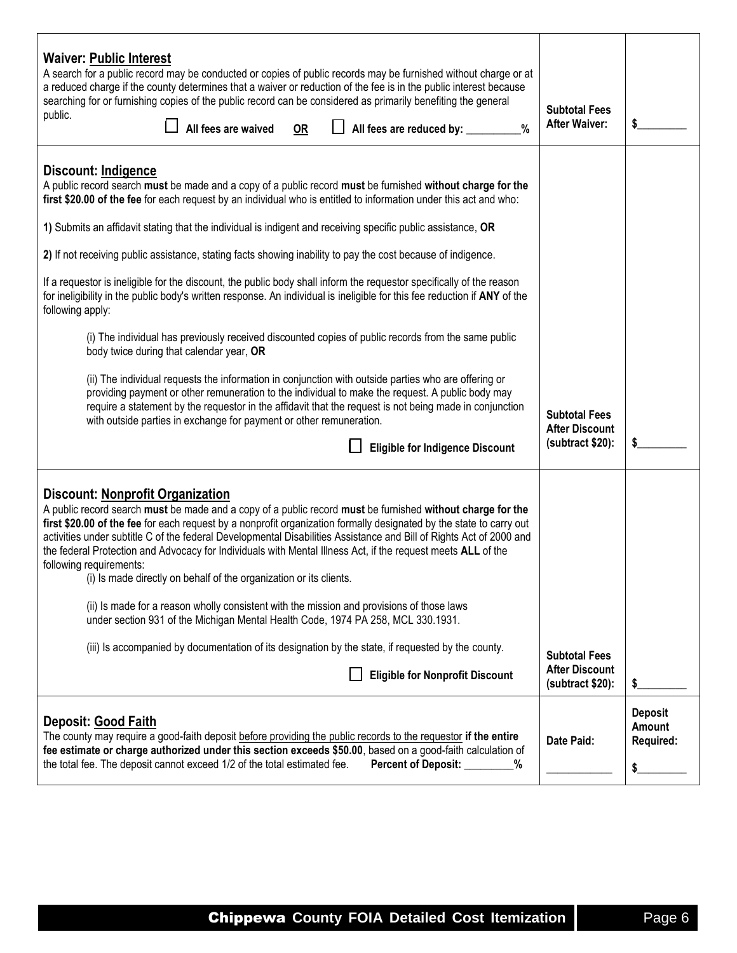| <b>Waiver: Public Interest</b><br>A search for a public record may be conducted or copies of public records may be furnished without charge or at<br>a reduced charge if the county determines that a waiver or reduction of the fee is in the public interest because<br>searching for or furnishing copies of the public record can be considered as primarily benefiting the general<br>public.<br>All fees are waived<br><b>OR</b><br>All fees are reduced by: _________<br>$\frac{0}{0}$                                                                                                                                                                                                                                                                                                                                                                                                                                                                                                                                                                                                                                                                                                                                                                                                                                                              | <b>Subtotal Fees</b><br><b>After Waiver:</b>                      | \$                                          |
|------------------------------------------------------------------------------------------------------------------------------------------------------------------------------------------------------------------------------------------------------------------------------------------------------------------------------------------------------------------------------------------------------------------------------------------------------------------------------------------------------------------------------------------------------------------------------------------------------------------------------------------------------------------------------------------------------------------------------------------------------------------------------------------------------------------------------------------------------------------------------------------------------------------------------------------------------------------------------------------------------------------------------------------------------------------------------------------------------------------------------------------------------------------------------------------------------------------------------------------------------------------------------------------------------------------------------------------------------------|-------------------------------------------------------------------|---------------------------------------------|
| Discount: Indigence<br>A public record search must be made and a copy of a public record must be furnished without charge for the<br>first \$20.00 of the fee for each request by an individual who is entitled to information under this act and who:<br>1) Submits an affidavit stating that the individual is indigent and receiving specific public assistance, OR<br>2) If not receiving public assistance, stating facts showing inability to pay the cost because of indigence.<br>If a requestor is ineligible for the discount, the public body shall inform the requestor specifically of the reason<br>for ineligibility in the public body's written response. An individual is ineligible for this fee reduction if ANY of the<br>following apply:<br>(i) The individual has previously received discounted copies of public records from the same public<br>body twice during that calendar year, OR<br>(ii) The individual requests the information in conjunction with outside parties who are offering or<br>providing payment or other remuneration to the individual to make the request. A public body may<br>require a statement by the requestor in the affidavit that the request is not being made in conjunction<br>with outside parties in exchange for payment or other remuneration.<br><b>Eligible for Indigence Discount</b> | <b>Subtotal Fees</b><br><b>After Discount</b><br>(subtract \$20): | \$                                          |
| <b>Discount: Nonprofit Organization</b><br>A public record search must be made and a copy of a public record must be furnished without charge for the<br>first \$20.00 of the fee for each request by a nonprofit organization formally designated by the state to carry out<br>activities under subtitle C of the federal Developmental Disabilities Assistance and Bill of Rights Act of 2000 and<br>the federal Protection and Advocacy for Individuals with Mental Illness Act, if the request meets ALL of the<br>following requirements:<br>(i) Is made directly on behalf of the organization or its clients.<br>(ii) Is made for a reason wholly consistent with the mission and provisions of those laws<br>under section 931 of the Michigan Mental Health Code, 1974 PA 258, MCL 330.1931.<br>(iii) Is accompanied by documentation of its designation by the state, if requested by the county.<br><b>Eligible for Nonprofit Discount</b>                                                                                                                                                                                                                                                                                                                                                                                                      | <b>Subtotal Fees</b><br><b>After Discount</b><br>(subtract \$20): | \$                                          |
| Deposit: Good Faith<br>The county may require a good-faith deposit before providing the public records to the requestor if the entire<br>fee estimate or charge authorized under this section exceeds \$50.00, based on a good-faith calculation of<br>the total fee. The deposit cannot exceed 1/2 of the total estimated fee.<br>Percent of Deposit: _                                                                                                                                                                                                                                                                                                                                                                                                                                                                                                                                                                                                                                                                                                                                                                                                                                                                                                                                                                                                   | Date Paid:                                                        | <b>Deposit</b><br>Amount<br>Required:<br>\$ |